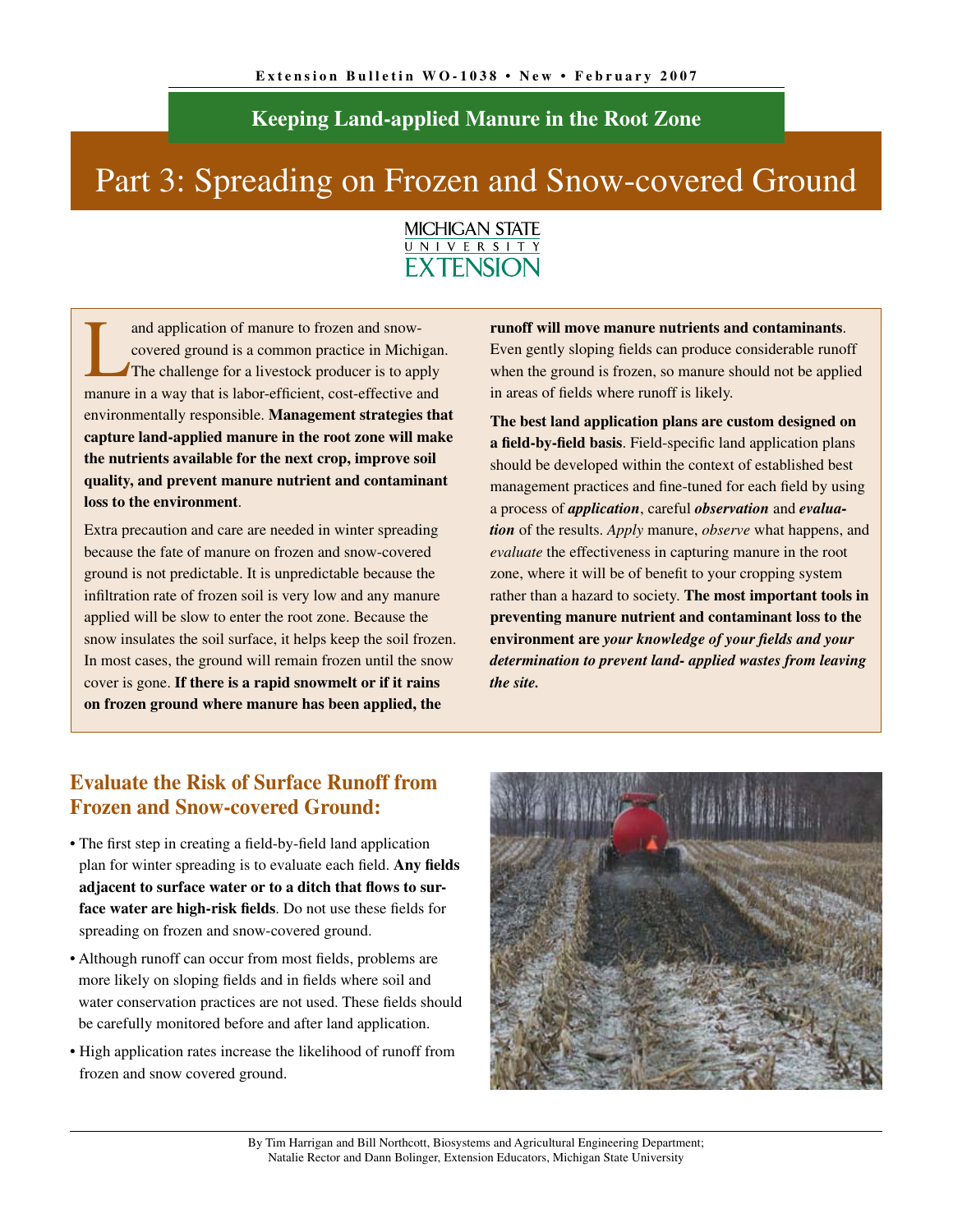### **Keeping Land-applied Manure in the Root Zone**

# Part 3: Spreading on Frozen and Snow-covered Ground



and application of manure to frozen and snow-<br>covered ground is a common practice in Michi<br>The challenge for a livestock producer is to app covered ground is a common practice in Michigan. The challenge for a livestock producer is to apply manure in a way that is labor-efficient, cost-effective and environmentally responsible. **Management strategies that capture land-applied manure in the root zone will make the nutrients available for the next crop, improve soil quality, and prevent manure nutrient and contaminant loss to the environment**.

Extra precaution and care are needed in winter spreading because the fate of manure on frozen and snow-covered ground is not predictable. It is unpredictable because the infiltration rate of frozen soil is very low and any manure applied will be slow to enter the root zone. Because the snow insulates the soil surface, it helps keep the soil frozen. In most cases, the ground will remain frozen until the snow cover is gone. **If there is a rapid snowmelt or if it rains on frozen ground where manure has been applied, the** 

**runoff will move manure nutrients and contaminants**. Even gently sloping fields can produce considerable runoff when the ground is frozen, so manure should not be applied in areas of fields where runoff is likely.

**The best land application plans are custom designed on a field-by-field basis**. Field-specific land application plans should be developed within the context of established best management practices and fine-tuned for each field by using a process of *application*, careful *observation* and *evaluation* of the results. *Apply* manure, *observe* what happens, and *evaluate* the effectiveness in capturing manure in the root zone, where it will be of benefit to your cropping system rather than a hazard to society. **The most important tools in preventing manure nutrient and contaminant loss to the environment are** *your knowledge of your fields and your determination to prevent land- applied wastes from leaving the site.*

### **Evaluate the Risk of Surface Runoff from Frozen and Snow-covered Ground:**

- The first step in creating a field-by-field land application plan for winter spreading is to evaluate each field. **Any fields adjacent to surface water or to a ditch that flows to surface water are high-risk fields**. Do not use these fields for spreading on frozen and snow-covered ground.
- Although runoff can occur from most fields, problems are more likely on sloping fields and in fields where soil and water conservation practices are not used. These fields should be carefully monitored before and after land application.
- High application rates increase the likelihood of runoff from frozen and snow covered ground.



By Tim Harrigan and Bill Northcott, Biosystems and Agricultural Engineering Department; Natalie Rector and Dann Bolinger, Extension Educators, Michigan State University